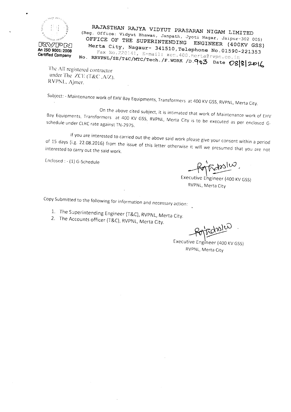

..

RAJASTHAN RAJYA VIDYUT PRASARAN NIGAM LIMITED (Reg. Office: Vidyut Bhawan, Janpath, Jyoti Nagar, Jaipur-302 005) OFFICE OF THE SUPERINTENDING ENGINEER (400KV GSS) Merta City, Nagaur- 341510, Telephone No.01590-221353 Fax *No.*220141, E-mail: xen.400.merta@rvpn.co.in No. RRVPNL/SE/T&C/MTC/Tech. /F. WORK /D . 903 Date  $O8|8|2D\&$ 

The All registered contractor under The *ZCE* (T&C, A/Z). RVPNL, Ajmer.

Subject: - Maintenance work of EHV Bay Equipments, Transformers at 400 KV GSS, RVPNL, Merta City.

On the above cited subject, it is intimated that work of Maintenance work of EHV  $B_{\rm B}$  Equipments, Transformers at 400 KV GSS, RVPNL, Merta City is to be executed as per enclosed G schedule under CLHCrate against TN-2975.

If you are interested to carried out the above said work please give your consent within a period  $\alpha$  and  $\alpha$  days (i.g. 22.08.2016) from the issue of this letter otherwise it will we presumed that  $\alpha$ interested to carry out the said work.

Enclosed: - (1) G-Schedule

~,

Executive Engineer (400 KV GSS) RVPNL, Merta City

Copy Submitted to the following for information and necessary action:

- 1. The Superintending Engineer (T&C), RVPNL, Merta City.
- 2. The Accounts officer (T&C), RVPNL, Merta City.

**For Fold 2010** 

RVPNL, Merta City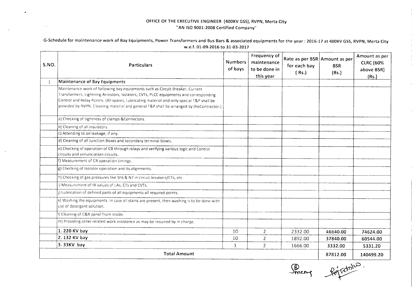## **OFFICE OF THE EXECUTIVE ENGINEER (400KV GSS), RVPN, Merta City "AN ISO 9001-2008 Certified Company"**  $\mathcal{L}_{\mathrm{max}}$

 $\overline{\phantom{a}}$ 

 $\lambda$ 

 $\sim$ 

G-Schedule for maintenance work of Bay Equipments, Power Transformers and Bus Bars & associated equipments for the year: 2016-17 at 400KV GSS, RVPN, Merta City **w.e.f. 01-09-2016 to 31-03-2017**

| <b>S.NO.</b> | <b>Particulars</b>                                                                                                                                                                                                                                                                                                                                              | <b>Numbers</b><br>of bays | Frequency of<br>maintenance<br>to be done in<br>this year | Rate as per BSR Amount as per<br>for each bay<br>(Rs.) | <b>BSR</b><br>(Rs.) | Amount as per<br><b>CLRC (60%</b><br>above BSR)<br>(Rs.) |
|--------------|-----------------------------------------------------------------------------------------------------------------------------------------------------------------------------------------------------------------------------------------------------------------------------------------------------------------------------------------------------------------|---------------------------|-----------------------------------------------------------|--------------------------------------------------------|---------------------|----------------------------------------------------------|
| $\mathbf{1}$ | Maintenance of Bay Equipments                                                                                                                                                                                                                                                                                                                                   |                           |                                                           |                                                        |                     |                                                          |
|              | Maintenance work of following bay equipments such as Circuit Breaker, Current<br>Transformers, Lightning Arrestors, Isolators, CVTs, PLCC equipments and corresponding<br>Control and Relay Panels. (All spares, Lubricating material and only special T&P shall be<br>provided by RVPN. Cleaning material and general T&P shall be arranged by theContractor.) |                           |                                                           |                                                        |                     |                                                          |
|              | a) Checking of tightness of clamps & Connectors.                                                                                                                                                                                                                                                                                                                |                           |                                                           |                                                        |                     |                                                          |
|              | b) Cleaning of all insulators.                                                                                                                                                                                                                                                                                                                                  | $\Delta$                  |                                                           |                                                        |                     |                                                          |
|              | c) Attending to oil leakage, if any.                                                                                                                                                                                                                                                                                                                            |                           |                                                           |                                                        |                     |                                                          |
|              | d) Cleaning of all Junction Boxes and secondary terminal boxes.                                                                                                                                                                                                                                                                                                 |                           |                                                           |                                                        |                     |                                                          |
|              | e) Checking of operation of CB through relays and verifying various logic and Control<br>circuits and annunciation circuits.                                                                                                                                                                                                                                    |                           |                                                           |                                                        |                     |                                                          |
|              | f) Measurement of CB operation timings.                                                                                                                                                                                                                                                                                                                         |                           |                                                           |                                                        |                     |                                                          |
|              | g) Checking of Isolator operation and its alignments.                                                                                                                                                                                                                                                                                                           |                           |                                                           |                                                        |                     |                                                          |
|              | h) Checking of gas pressures like SF6 & N2 in circuit breakers/CTs, etc.                                                                                                                                                                                                                                                                                        |                           |                                                           |                                                        |                     |                                                          |
|              | ) Measurement of IR values of LAs, CTs and CVTs.                                                                                                                                                                                                                                                                                                                |                           |                                                           |                                                        |                     |                                                          |
|              | j) Lubrication of defined parts of all equipments all required points.                                                                                                                                                                                                                                                                                          |                           |                                                           |                                                        |                     |                                                          |
|              | k) Washing the equipments. In case oil stains are present, then washing is to be done with<br>use of detergent solution.                                                                                                                                                                                                                                        |                           |                                                           |                                                        |                     |                                                          |
|              | I) Cleaning of C&R panel from inside.                                                                                                                                                                                                                                                                                                                           |                           |                                                           |                                                        |                     |                                                          |
|              | m) Providing other related work assistance as may be required by In charge.                                                                                                                                                                                                                                                                                     |                           |                                                           |                                                        |                     |                                                          |
|              | 1. 220 KV bay                                                                                                                                                                                                                                                                                                                                                   | 10                        | $\overline{2}$                                            | 2332.00                                                | 46640.00            | 74624.00                                                 |
|              | 2.132 KV bay                                                                                                                                                                                                                                                                                                                                                    | 10                        | $\overline{2}$                                            | 1892.00                                                | 37840.00            | 60544.00                                                 |
|              | $3.33KV$ bay                                                                                                                                                                                                                                                                                                                                                    | $\mathbf{1}$              | $\overline{2}$                                            | 1666.00                                                | 3332.00             | 5331.20                                                  |
|              | <b>Total Amount</b>                                                                                                                                                                                                                                                                                                                                             | 87812.00                  | 140499.20                                                 |                                                        |                     |                                                          |

Sincere Roj Garlis.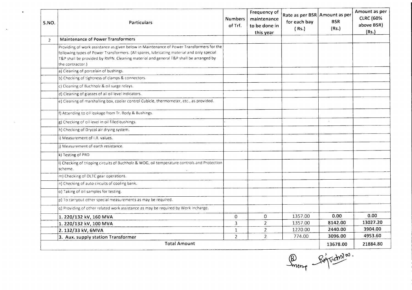| S.NO. | Particulars                                                                                                                                                                                                                                                                                        | <b>Numbers</b><br>of Trf. | Frequency of<br>maintenance<br>to be done in<br>this year | Rate as per BSR Amount as per<br>for each bay<br>(Rs.) | <b>BSR</b><br>(Rs.) | Amount as per<br><b>CLRC (60%</b><br>above BSR)<br>(Rs.) |
|-------|----------------------------------------------------------------------------------------------------------------------------------------------------------------------------------------------------------------------------------------------------------------------------------------------------|---------------------------|-----------------------------------------------------------|--------------------------------------------------------|---------------------|----------------------------------------------------------|
| 2     | <b>Maintenance of Power Transformers</b>                                                                                                                                                                                                                                                           |                           |                                                           |                                                        |                     |                                                          |
|       | Providing of work assistance as given below in Maintenance of Power Transformers for the<br>following types of Power Transformers. (All spares, lubricating material and only special<br>T&P shall be provided by RVPN. Cleaning material and general T&P shall be arranged by<br>the contractor.) |                           |                                                           |                                                        |                     |                                                          |
|       | a) Cleaning of porcelain of bushings.                                                                                                                                                                                                                                                              |                           |                                                           |                                                        |                     |                                                          |
|       | b) Checking of tightness of clamps & connectors.                                                                                                                                                                                                                                                   |                           |                                                           |                                                        |                     |                                                          |
|       | c) Cleaning of Buchholz & oil surge relays.                                                                                                                                                                                                                                                        |                           |                                                           |                                                        |                     |                                                          |
|       | d) Cleaning of glasses of all oil level indicators.                                                                                                                                                                                                                                                |                           |                                                           |                                                        |                     |                                                          |
|       | e) Cleaning of marshalling box, cooler control Cubicle, thermometer, etc., as provided.                                                                                                                                                                                                            |                           |                                                           |                                                        |                     |                                                          |
|       | f) Attending to oil leakage from Tr. Body & Bushings.                                                                                                                                                                                                                                              |                           |                                                           |                                                        |                     |                                                          |
|       | g) Checking of oil level in oil filled bushings.                                                                                                                                                                                                                                                   |                           |                                                           |                                                        |                     |                                                          |
|       | h) Checking of Drycol air drying system.                                                                                                                                                                                                                                                           |                           |                                                           |                                                        |                     |                                                          |
|       | i) Measurement of I.R. values.                                                                                                                                                                                                                                                                     |                           |                                                           |                                                        |                     |                                                          |
|       | j) Measurement of earth resistance.                                                                                                                                                                                                                                                                |                           |                                                           |                                                        |                     |                                                          |
|       | k) Testing of PRD                                                                                                                                                                                                                                                                                  |                           |                                                           |                                                        |                     |                                                          |
|       | I) Checking of tripping circuits of Buchholz & WDG, oil temperature controls and Protection<br>scheme.                                                                                                                                                                                             |                           |                                                           |                                                        |                     |                                                          |
|       | m) Checking of OLTC gear operations.                                                                                                                                                                                                                                                               |                           |                                                           |                                                        |                     |                                                          |
|       | n) Checking of auto circuits of cooling bank.                                                                                                                                                                                                                                                      |                           |                                                           |                                                        |                     |                                                          |
|       | o) Taking of oil samples for testing.                                                                                                                                                                                                                                                              |                           |                                                           |                                                        |                     |                                                          |
|       | $ p)$ To carryout other special measurements as may be required.                                                                                                                                                                                                                                   |                           |                                                           |                                                        |                     |                                                          |
|       | g) Providing of other related work assistance as may be required by Work Incharge.                                                                                                                                                                                                                 |                           |                                                           |                                                        |                     |                                                          |
|       | 1. 220/132 kV, 160 MVA                                                                                                                                                                                                                                                                             | $\mathbf{0}$              | $\overline{0}$                                            | 1357.00                                                | 0.00                | 0.00                                                     |
|       | 1. 220/132 kV, 100 MVA                                                                                                                                                                                                                                                                             | 3                         | $\overline{2}$                                            | 1357.00                                                | 8142.00             | 13027.20                                                 |
|       | 2. 132/33 kV, 6MVA                                                                                                                                                                                                                                                                                 | $\mathbf{1}$              | $\overline{2}$                                            | 1220.00                                                | 2440.00             | 3904.00                                                  |
|       | 3. Aux. supply station Transformer                                                                                                                                                                                                                                                                 | $\overline{2}$            | $\overline{2}$                                            | 774.00                                                 | 3096.00             | 4953.60                                                  |
|       | <b>Total Amount</b>                                                                                                                                                                                                                                                                                |                           |                                                           |                                                        | 13678.00            | 21884.80                                                 |

 $\mathcal{L}^{\mathcal{L}}$ 

Bureau Signalistes